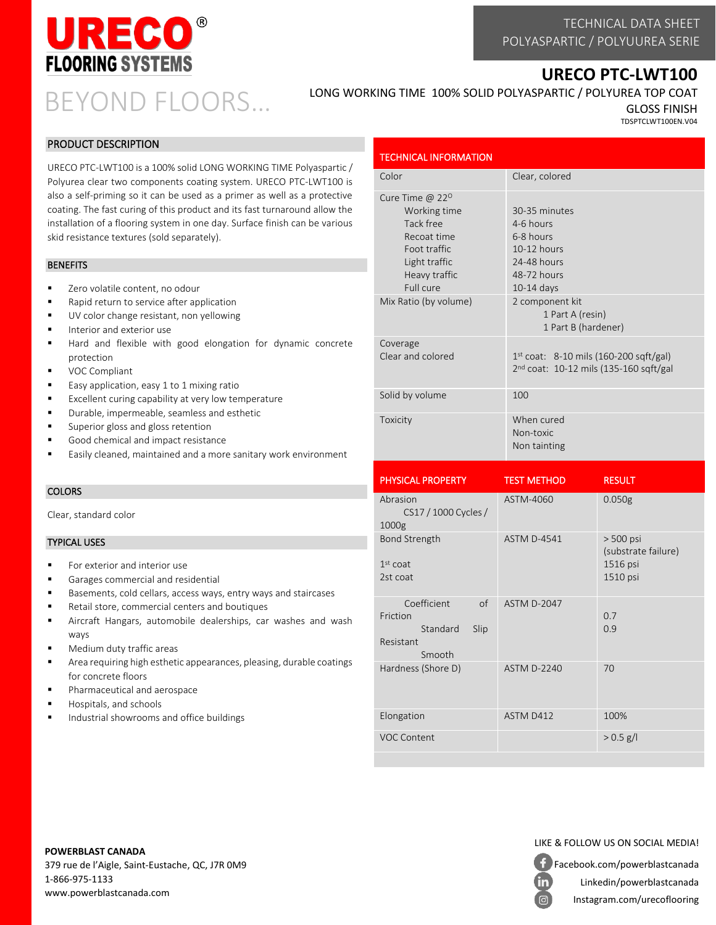

# **URECO PTC-LWT100**

BEYOND FLOORS…

LONG WORKING TIME 100% SOLID POLYASPARTIC / POLYUREA TOP COAT

GLOSS FINISH TDSPTCLWT100EN.V04

# PRODUCT DESCRIPTION

URECO PTC-LWT100 is a 100% solid LONG WORKING TIME Polyaspartic / Polyurea clear two components coating system. URECO PTC-LWT100 is also a self-priming so it can be used as a primer as well as a protective coating. The fast curing of this product and its fast turnaround allow the installation of a flooring system in one day. Surface finish can be various skid resistance textures (sold separately).

## **BENEFITS**

- Zero volatile content, no odour
- Rapid return to service after application
- UV color change resistant, non yellowing
- Interior and exterior use
- Hard and flexible with good elongation for dynamic concrete protection
- VOC Compliant
- Easy application, easy 1 to 1 mixing ratio
- Excellent curing capability at very low temperature
- Durable, impermeable, seamless and esthetic
- Superior gloss and gloss retention
- Good chemical and impact resistance
- Easily cleaned, maintained and a more sanitary work environment

## **COLORS**

Clear, standard color

## TYPICAL USES

- For exterior and interior use
- Garages commercial and residential
- Basements, cold cellars, access ways, entry ways and staircases
- Retail store, commercial centers and boutiques
- Aircraft Hangars, automobile dealerships, car washes and wash ways
- Medium duty traffic areas
- Area requiring high esthetic appearances, pleasing, durable coatings for concrete floors
- Pharmaceutical and aerospace
- Hospitals, and schools
- Industrial showrooms and office buildings

#### TECHNICAL INFORMATION Color Color Clear, colored Cure Time @ 22<sup>0</sup> Working time Tack free Recoat time Foot traffic Light traffic Heavy traffic Full cure 30-35 minutes 4-6 hours 6-8 hours 10-12 hours 24-48 hours 48-72 hours 10-14 days Mix Ratio (by volume) 2 component kit 1 Part A (resin) 1 Part B (hardener) Coverage Clear and colored  $1<sup>st</sup>$  coat: 8-10 mils (160-200 sqft/gal) 2 nd coat: 10-12 mils (135-160 sqft/gal Solid by volume 100 Toxicity When cured Non-toxic Non tainting

| <b>PHYSICAL PROPERTY</b>                                                 | <b>TEST METHOD</b> | <b>RESULT</b>                                              |
|--------------------------------------------------------------------------|--------------------|------------------------------------------------------------|
| Abrasion<br>CS17 / 1000 Cycles /<br>1000g                                | ASTM-4060          | 0.050g                                                     |
| <b>Bond Strength</b><br>$1st$ coat<br>2st coat                           | <b>ASTM D-4541</b> | $> 500$ psi<br>(substrate failure)<br>1516 psi<br>1510 psi |
| Coefficient<br>of<br>Friction<br>Standard<br>Slip<br>Resistant<br>Smooth | <b>ASTM D-2047</b> | 0.7<br>0.9                                                 |
| Hardness (Shore D)                                                       | <b>ASTM D-2240</b> | 70                                                         |
| Elongation                                                               | ASTM D412          | 100%                                                       |
| <b>VOC Content</b>                                                       |                    | $> 0.5$ g/l                                                |

# **POWERBLAST CANADA**

379 rue de l'Aigle, Saint-Eustache, QC, J7R 0M9 1-866-975-1133 www.powerblastcanada.com

# LIKE & FOLLOW US ON SOCIAL MEDIA!

Facebook.com/powerblastcanada Linkedin/powerblastcanada

Instagram.com/urecoflooring